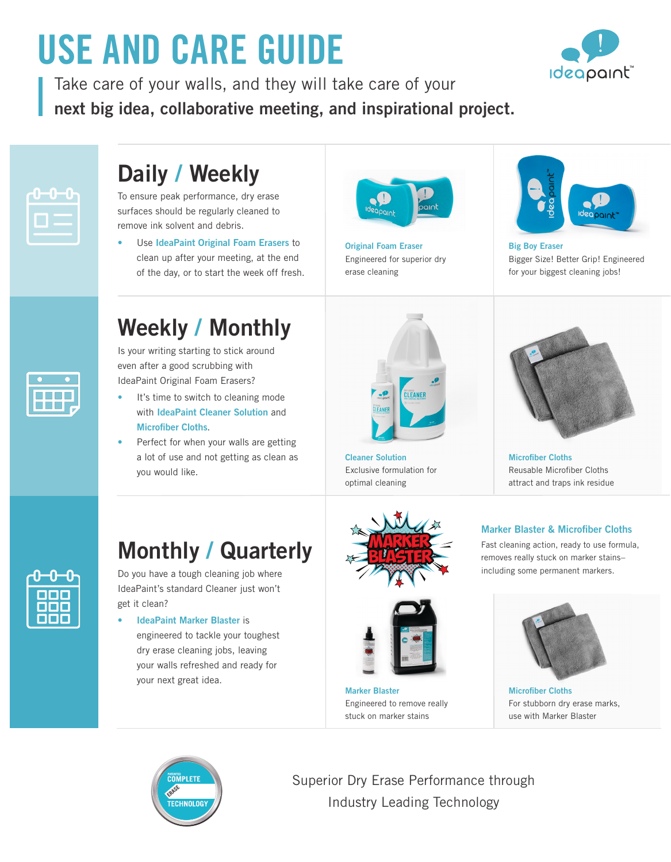# **USE AND CARE GUIDE**

Take care of your walls, and they will take care of your **next big idea, collaborative meeting, and inspirational project.**



# **Daily / Weekly**

To ensure peak performance, dry erase surfaces should be regularly cleaned to remove ink solvent and debris.

• Use **IdeaPaint Original Foam Erasers** to clean up after your meeting, at the end of the day, or to start the week off fresh.



**Original Foam Eraser** Engineered for superior dry erase cleaning



**Ideapaint** 

**Big Boy Eraser** Bigger Size! Better Grip! Engineered for your biggest cleaning jobs!

# **Weekly / Monthly**

Is your writing starting to stick around even after a good scrubbing with IdeaPaint Original Foam Erasers?

- It's time to switch to cleaning mode with **IdeaPaint Cleaner Solution** and **Microfiber Cloths**.
- Perfect for when your walls are getting a lot of use and not getting as clean as you would like.



**Cleaner Solution** Exclusive formulation for optimal cleaning



**Microfiber Cloths** Reusable Microfiber Cloths attract and traps ink residue

#### **Marker Blaster & Microfiber Cloths**

Fast cleaning action, ready to use formula, removes really stuck on marker stains– including some permanent markers.



**Microfiber Cloths** For stubborn dry erase marks, use with Marker Blaster



# **Monthly / Quarterly**

Do you have a tough cleaning job where IdeaPaint's standard Cleaner just won't get it clean?

#### **• IdeaPaint Marker Blaster** is

engineered to tackle your toughest dry erase cleaning jobs, leaving your walls refreshed and ready for your next great idea.





**Marker Blaster** Engineered to remove really stuck on marker stains



Superior Dry Erase Performance through Industry Leading Technology